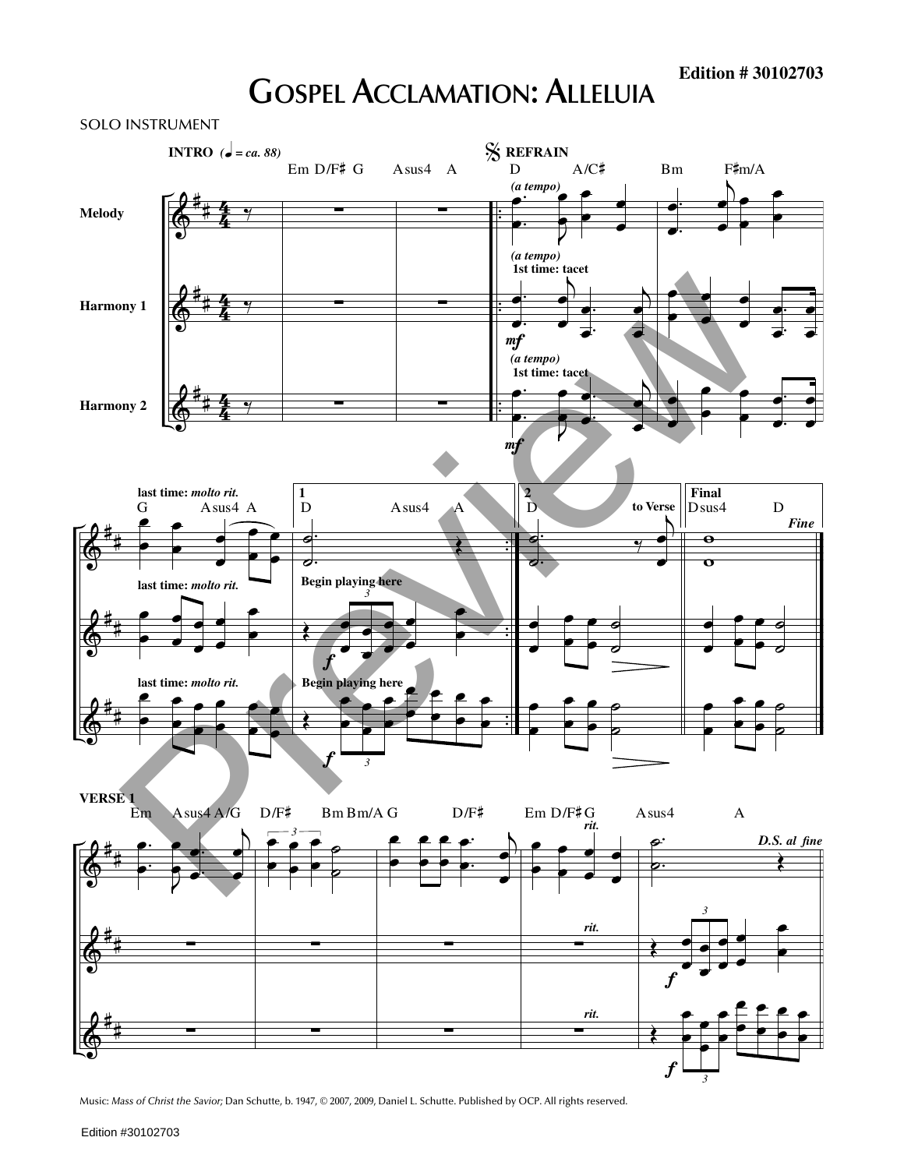## **GOSPEL ACCLAMATION: ALLELUIA**



Music: *Mass of Christ the Savior;* Dan Schutte, b. 1947, © 2007, 2009, Daniel L. Schutte. Published by OCP. All rights reserved.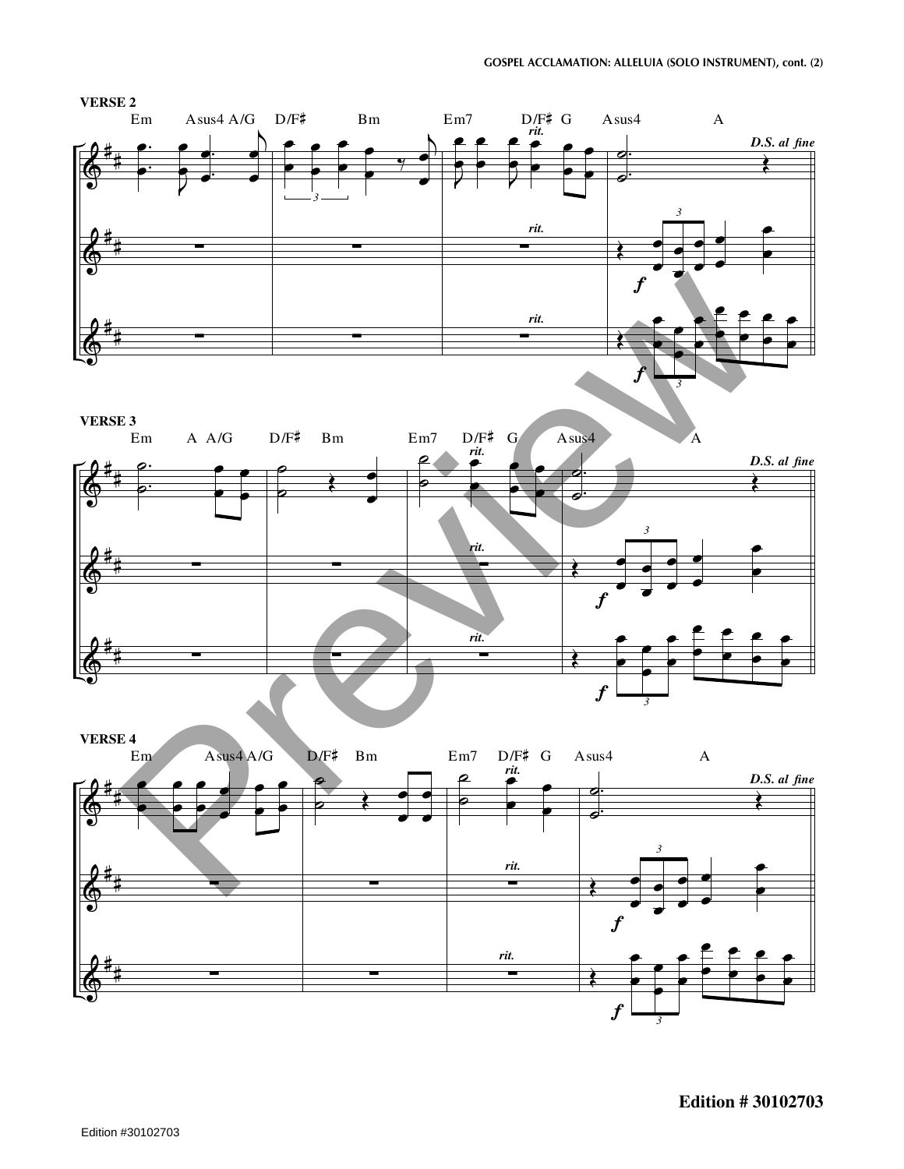

**Edition # 30102703**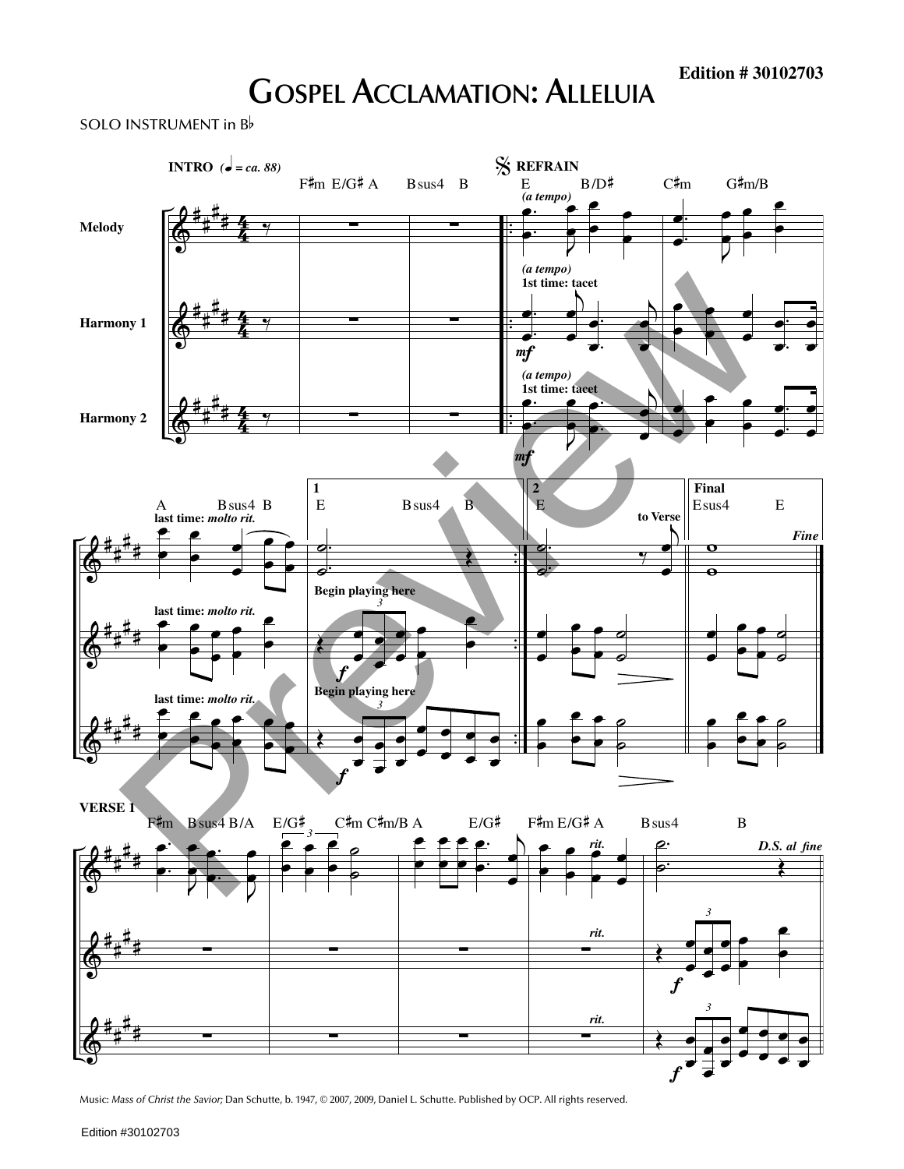## **GOSPEL ACCLAMATION: ALLELUIA**

SOLO INSTRUMENT in <sup>B</sup>



Music: *Mass of Christ the Savior;* Dan Schutte, b. 1947, © 2007, 2009, Daniel L. Schutte. Published by OCP. All rights reserved.